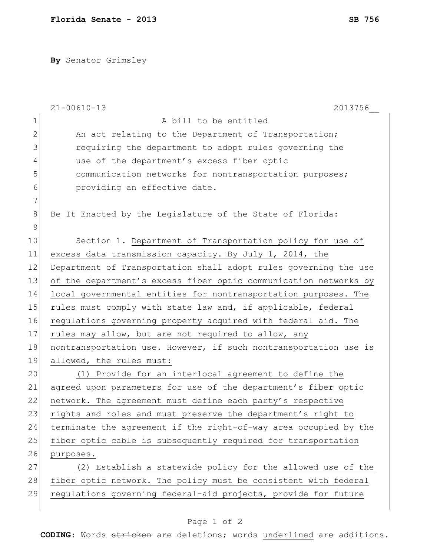**By** Senator Grimsley

|                | $21 - 00610 - 13$<br>2013756                                     |
|----------------|------------------------------------------------------------------|
| $\mathbf 1$    | A bill to be entitled                                            |
| $\overline{2}$ | An act relating to the Department of Transportation;             |
| 3              | requiring the department to adopt rules governing the            |
| 4              | use of the department's excess fiber optic                       |
| 5              | communication networks for nontransportation purposes;           |
| 6              | providing an effective date.                                     |
| 7              |                                                                  |
| $8\,$          | Be It Enacted by the Legislature of the State of Florida:        |
| 9              |                                                                  |
| 10             | Section 1. Department of Transportation policy for use of        |
| 11             | excess data transmission capacity. -By July 1, 2014, the         |
| 12             | Department of Transportation shall adopt rules governing the use |
| 13             | of the department's excess fiber optic communication networks by |
| 14             | local governmental entities for nontransportation purposes. The  |
| 15             | rules must comply with state law and, if applicable, federal     |
| 16             | regulations governing property acquired with federal aid. The    |
| 17             | rules may allow, but are not required to allow, any              |
| 18             | nontransportation use. However, if such nontransportation use is |
| 19             | allowed, the rules must:                                         |
| 20             | (1) Provide for an interlocal agreement to define the            |
| 21             | agreed upon parameters for use of the department's fiber optic   |
| 22             | network. The agreement must define each party's respective       |
| 23             | rights and roles and must preserve the department's right to     |
| 24             | terminate the agreement if the right-of-way area occupied by the |
| 25             | fiber optic cable is subsequently required for transportation    |
| 26             | purposes.                                                        |
| 27             | (2) Establish a statewide policy for the allowed use of the      |
| 28             | fiber optic network. The policy must be consistent with federal  |
| 29             | regulations governing federal-aid projects, provide for future   |
|                |                                                                  |

## Page 1 of 2

**CODING**: Words stricken are deletions; words underlined are additions.